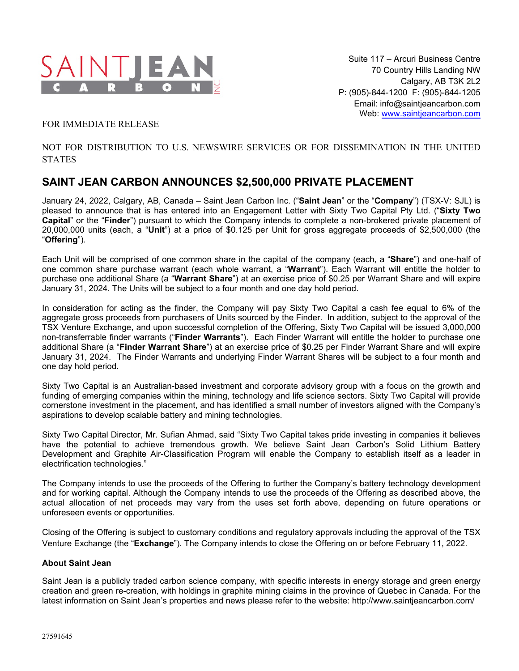

## FOR IMMEDIATE RELEASE

## NOT FOR DISTRIBUTION TO U.S. NEWSWIRE SERVICES OR FOR DISSEMINATION IN THE UNITED **STATES**

# **SAINT JEAN CARBON ANNOUNCES \$2,500,000 PRIVATE PLACEMENT**

January 24, 2022, Calgary, AB, Canada – Saint Jean Carbon Inc. ("**Saint Jean**" or the "**Company**") (TSX-V: SJL) is pleased to announce that is has entered into an Engagement Letter with Sixty Two Capital Pty Ltd. ("**Sixty Two Capital**" or the "**Finder**") pursuant to which the Company intends to complete a non-brokered private placement of 20,000,000 units (each, a "**Unit**") at a price of \$0.125 per Unit for gross aggregate proceeds of \$2,500,000 (the "**Offering**").

Each Unit will be comprised of one common share in the capital of the company (each, a "**Share**") and one-half of one common share purchase warrant (each whole warrant, a "**Warrant**"). Each Warrant will entitle the holder to purchase one additional Share (a "**Warrant Share**") at an exercise price of \$0.25 per Warrant Share and will expire January 31, 2024. The Units will be subject to a four month and one day hold period.

In consideration for acting as the finder, the Company will pay Sixty Two Capital a cash fee equal to 6% of the aggregate gross proceeds from purchasers of Units sourced by the Finder. In addition, subject to the approval of the TSX Venture Exchange, and upon successful completion of the Offering, Sixty Two Capital will be issued 3,000,000 non-transferrable finder warrants ("**Finder Warrants**"). Each Finder Warrant will entitle the holder to purchase one additional Share (a "**Finder Warrant Share**") at an exercise price of \$0.25 per Finder Warrant Share and will expire January 31, 2024. The Finder Warrants and underlying Finder Warrant Shares will be subject to a four month and one day hold period.

Sixty Two Capital is an Australian-based investment and corporate advisory group with a focus on the growth and funding of emerging companies within the mining, technology and life science sectors. Sixty Two Capital will provide cornerstone investment in the placement, and has identified a small number of investors aligned with the Company's aspirations to develop scalable battery and mining technologies.

Sixty Two Capital Director, Mr. Sufian Ahmad, said "Sixty Two Capital takes pride investing in companies it believes have the potential to achieve tremendous growth. We believe Saint Jean Carbon's Solid Lithium Battery Development and Graphite Air-Classification Program will enable the Company to establish itself as a leader in electrification technologies."

The Company intends to use the proceeds of the Offering to further the Company's battery technology development and for working capital. Although the Company intends to use the proceeds of the Offering as described above, the actual allocation of net proceeds may vary from the uses set forth above, depending on future operations or unforeseen events or opportunities.

Closing of the Offering is subject to customary conditions and regulatory approvals including the approval of the TSX Venture Exchange (the "**Exchange**"). The Company intends to close the Offering on or before February 11, 2022.

### **About Saint Jean**

Saint Jean is a publicly traded carbon science company, with specific interests in energy storage and green energy creation and green re-creation, with holdings in graphite mining claims in the province of Quebec in Canada. For the latest information on Saint Jean's properties and news please refer to the website: http://www.saintjeancarbon.com/